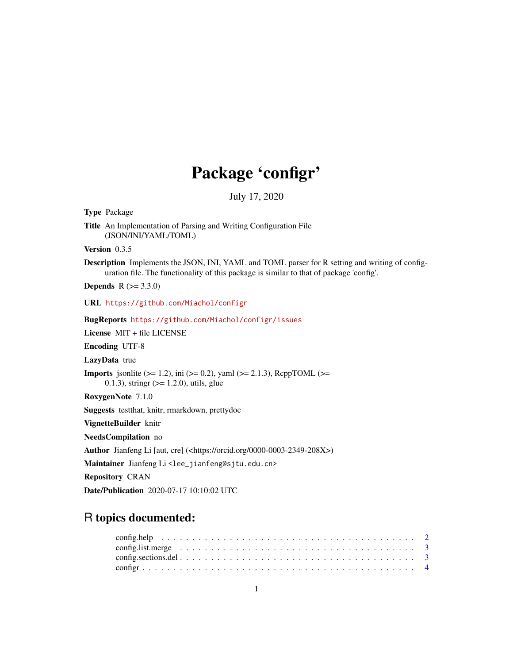# Package 'configr'

July 17, 2020

<span id="page-0-0"></span>Type Package Title An Implementation of Parsing and Writing Configuration File (JSON/INI/YAML/TOML) Version 0.3.5 Description Implements the JSON, INI, YAML and TOML parser for R setting and writing of configuration file. The functionality of this package is similar to that of package 'config'. **Depends** R  $(>= 3.3.0)$ URL <https://github.com/Miachol/configr> BugReports <https://github.com/Miachol/configr/issues> License MIT + file LICENSE Encoding UTF-8 LazyData true **Imports** jsonlite ( $>= 1.2$ ), ini ( $>= 0.2$ ), yaml ( $>= 2.1.3$ ), RcppTOML ( $>= 1.2$ ) 0.1.3), stringr  $(>= 1.2.0)$ , utils, glue RoxygenNote 7.1.0 Suggests testthat, knitr, rmarkdown, prettydoc VignetteBuilder knitr NeedsCompilation no Author Jianfeng Li [aut, cre] (<https://orcid.org/0000-0003-2349-208X>) Maintainer Jianfeng Li<lee\_jianfeng@sjtu.edu.cn> Repository CRAN Date/Publication 2020-07-17 10:10:02 UTC

# R topics documented: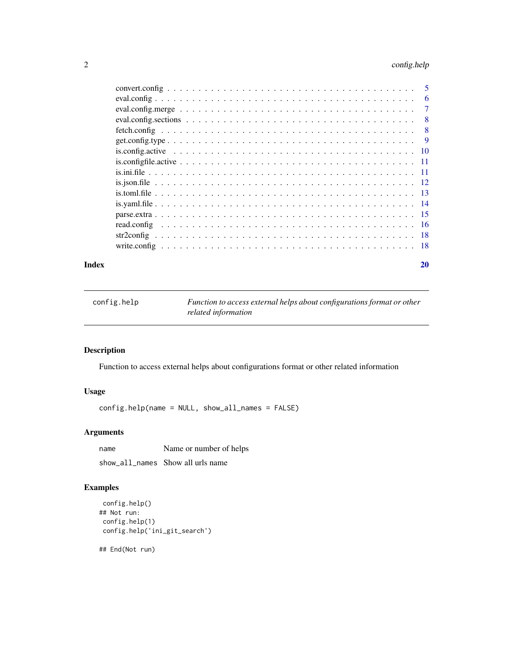# <span id="page-1-0"></span>2 config.help

|  | - 5            |
|--|----------------|
|  | 6              |
|  | $\overline{7}$ |
|  | 8              |
|  | 8              |
|  | <b>9</b>       |
|  |                |
|  |                |
|  |                |
|  |                |
|  |                |
|  |                |
|  |                |
|  |                |
|  |                |
|  |                |
|  |                |

# $\bf 1$ ndex  $\bf 20$  $\bf 20$

config.help *Function to access external helps about configurations format or other related information*

# Description

Function to access external helps about configurations format or other related information

# Usage

config.help(name = NULL, show\_all\_names = FALSE)

# Arguments

| name | Name or number of helps           |
|------|-----------------------------------|
|      | show all names Show all urls name |

# Examples

```
config.help()
## Not run:
config.help(1)
config.help('ini_git_search')
```
## End(Not run)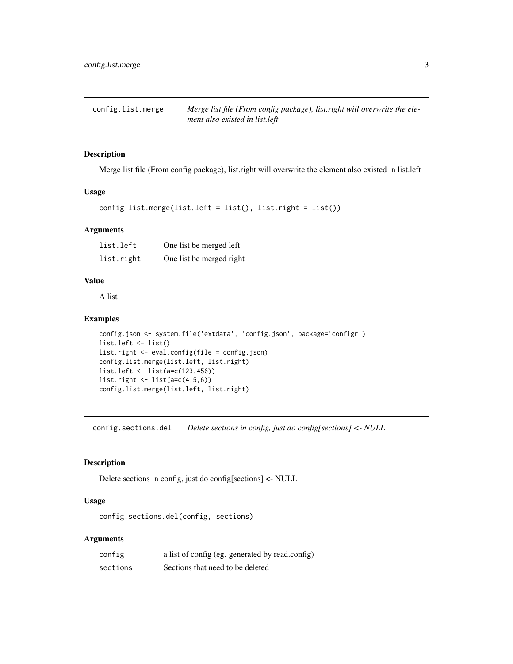<span id="page-2-0"></span>config.list.merge *Merge list file (From config package), list.right will overwrite the element also existed in list.left*

# Description

Merge list file (From config package), list.right will overwrite the element also existed in list.left

## Usage

```
config.list.merge(list.left = list(), list.right = list())
```
# Arguments

| list.left  | One list be merged left  |
|------------|--------------------------|
| list.right | One list be merged right |

# Value

A list

## Examples

```
config.json <- system.file('extdata', 'config.json', package='configr')
list.left <- list()
list.right <- eval.config(file = config.json)
config.list.merge(list.left, list.right)
list.left <- list(a=c(123,456))
list.right \leftarrow list(a=c(4,5,6))
config.list.merge(list.left, list.right)
```
config.sections.del *Delete sections in config, just do config[sections] <- NULL*

# Description

Delete sections in config, just do config[sections] <- NULL

## Usage

config.sections.del(config, sections)

# Arguments

| config   | a list of config (eg. generated by read.config) |
|----------|-------------------------------------------------|
| sections | Sections that need to be deleted                |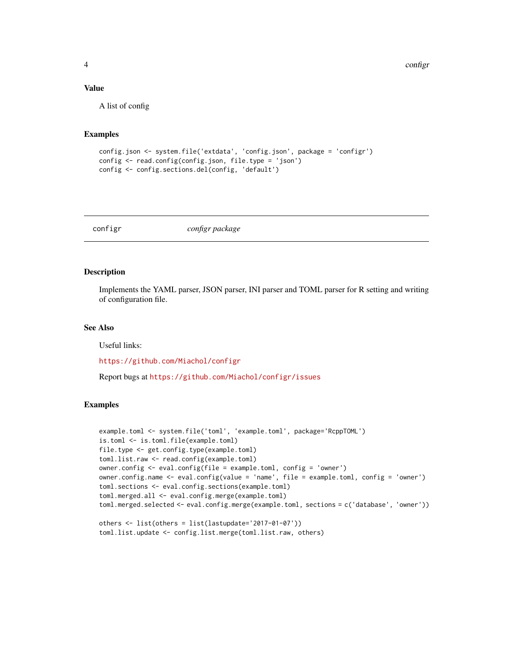4 configuration of the configuration of the configuration of the configuration of the configuration of the configuration of the configuration of the configuration of the configuration of the configuration of the configurat

## Value

A list of config

# Examples

```
config.json <- system.file('extdata', 'config.json', package = 'configr')
config <- read.config(config.json, file.type = 'json')
config <- config.sections.del(config, 'default')
```
configr *configr package*

# Description

Implements the YAML parser, JSON parser, INI parser and TOML parser for R setting and writing of configuration file.

# See Also

Useful links:

<https://github.com/Miachol/configr>

Report bugs at <https://github.com/Miachol/configr/issues>

```
example.toml <- system.file('toml', 'example.toml', package='RcppTOML')
is.toml <- is.toml.file(example.toml)
file.type <- get.config.type(example.toml)
toml.list.raw <- read.config(example.toml)
owner.config <- eval.config(file = example.toml, config = 'owner')
owner.config.name <- eval.config(value = 'name', file = example.toml, config = 'owner')
toml.sections <- eval.config.sections(example.toml)
toml.merged.all <- eval.config.merge(example.toml)
toml.merged.selected <- eval.config.merge(example.toml, sections = c('database', 'owner'))
others <- list(others = list(lastupdate='2017-01-07'))
```

```
toml.list.update <- config.list.merge(toml.list.raw, others)
```
<span id="page-3-0"></span>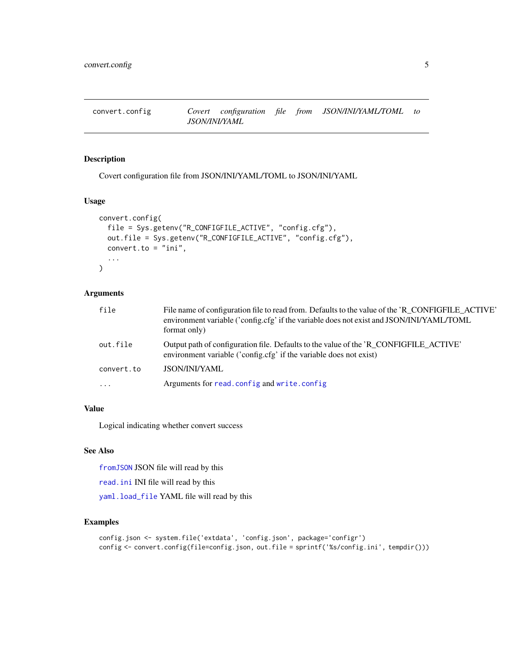<span id="page-4-0"></span>

## Description

Covert configuration file from JSON/INI/YAML/TOML to JSON/INI/YAML

## Usage

```
convert.config(
  file = Sys.getenv("R_CONFIGFILE_ACTIVE", "config.cfg"),
  out.file = Sys.getenv("R_CONFIGFILE_ACTIVE", "config.cfg"),
  convert.to = "ini",...
\mathcal{L}
```
## Arguments

| file       | File name of configuration file to read from. Defaults to the value of the 'R_CONFIGFILE_ACTIVE'<br>environment variable ('config.cfg' if the variable does not exist and JSON/INI/YAML/TOML<br>format only) |
|------------|--------------------------------------------------------------------------------------------------------------------------------------------------------------------------------------------------------------|
| out.file   | Output path of configuration file. Defaults to the value of the 'R CONFIGFILE ACTIVE'<br>environment variable ('config.cfg' if the variable does not exist)                                                  |
| convert.to | <b>JSON/INI/YAML</b>                                                                                                                                                                                         |
| $\cdots$   | Arguments for read.config and write.config                                                                                                                                                                   |

## Value

Logical indicating whether convert success

# See Also

[fromJSON](#page-0-0) JSON file will read by this

[read.ini](#page-0-0) INI file will read by this

[yaml.load\\_file](#page-0-0) YAML file will read by this

```
config.json <- system.file('extdata', 'config.json', package='configr')
config <- convert.config(file=config.json, out.file = sprintf('%s/config.ini', tempdir()))
```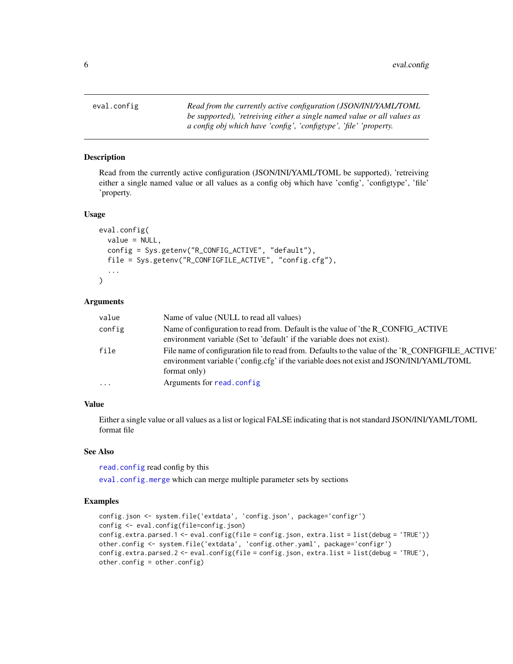<span id="page-5-1"></span><span id="page-5-0"></span>eval.config *Read from the currently active configuration (JSON/INI/YAML/TOML be supported), 'retreiving either a single named value or all values as a config obj which have 'config', 'configtype', 'file' 'property.*

## **Description**

Read from the currently active configuration (JSON/INI/YAML/TOML be supported), 'retreiving either a single named value or all values as a config obj which have 'config', 'configtype', 'file' 'property.

#### Usage

```
eval.config(
  value = NULL,
  config = Sys.getenv("R_CONFIG_ACTIVE", "default"),
  file = Sys.getenv("R_CONFIGFILE_ACTIVE", "config.cfg"),
  ...
)
```
## Arguments

| value     | Name of value (NULL to read all values)                                                                                                                                                                      |
|-----------|--------------------------------------------------------------------------------------------------------------------------------------------------------------------------------------------------------------|
| config    | Name of configuration to read from. Default is the value of 'the R_CONFIG_ACTIVE<br>environment variable (Set to 'default' if the variable does not exist).                                                  |
| file      | File name of configuration file to read from. Defaults to the value of the 'R_CONFIGFILE_ACTIVE'<br>environment variable ('config.cfg' if the variable does not exist and JSON/INI/YAML/TOML<br>format only) |
| $\ddotsc$ | Arguments for read.config.                                                                                                                                                                                   |

## Value

Either a single value or all values as a list or logical FALSE indicating that is not standard JSON/INI/YAML/TOML format file

## See Also

[read.config](#page-15-1) read config by this

[eval.config.merge](#page-6-1) which can merge multiple parameter sets by sections

```
config.json <- system.file('extdata', 'config.json', package='configr')
config <- eval.config(file=config.json)
config.extra.parsed.1 <- eval.config(file = config.json, extra.list = list(debug = 'TRUE'))
other.config <- system.file('extdata', 'config.other.yaml', package='configr')
config.extra.parsed.2 <- eval.config(file = config.json, extra.list = list(debug = 'TRUE'),
other.config = other.config)
```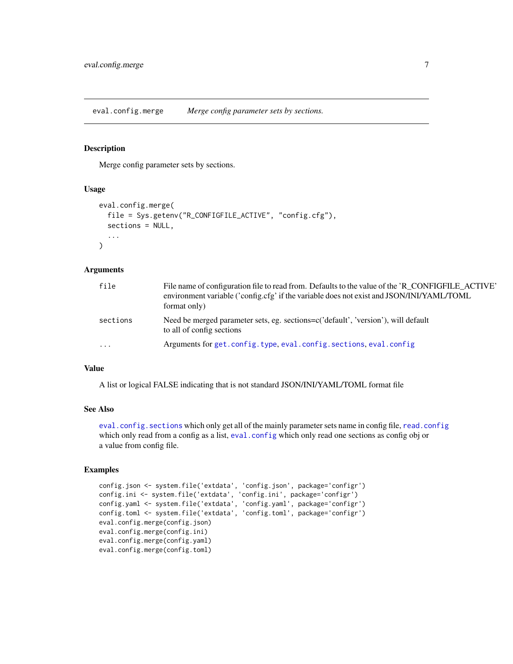<span id="page-6-1"></span><span id="page-6-0"></span>eval.config.merge *Merge config parameter sets by sections.*

## Description

Merge config parameter sets by sections.

# Usage

```
eval.config.merge(
  file = Sys.getenv("R_CONFIGFILE_ACTIVE", "config.cfg"),
  sections = NULL,
  ...
)
```
#### Arguments

| file     | File name of configuration file to read from. Defaults to the value of the 'R_CONFIGFILE_ACTIVE'<br>environment variable ('config.cfg' if the variable does not exist and JSON/INI/YAML/TOML<br>format only) |
|----------|--------------------------------------------------------------------------------------------------------------------------------------------------------------------------------------------------------------|
| sections | Need be merged parameter sets, eg. sections=c('default', 'version'), will default<br>to all of config sections                                                                                               |
| $\cdots$ | Arguments for get.config.type, eval.config.sections, eval.config                                                                                                                                             |

# Value

A list or logical FALSE indicating that is not standard JSON/INI/YAML/TOML format file

## See Also

[eval.config.sections](#page-7-1) which only get all of the mainly parameter sets name in config file, [read.config](#page-15-1) which only read from a config as a list, [eval.config](#page-5-1) which only read one sections as config obj or a value from config file.

```
config.json <- system.file('extdata', 'config.json', package='configr')
config.ini <- system.file('extdata', 'config.ini', package='configr')
config.yaml <- system.file('extdata', 'config.yaml', package='configr')
config.toml <- system.file('extdata', 'config.toml', package='configr')
eval.config.merge(config.json)
eval.config.merge(config.ini)
eval.config.merge(config.yaml)
eval.config.merge(config.toml)
```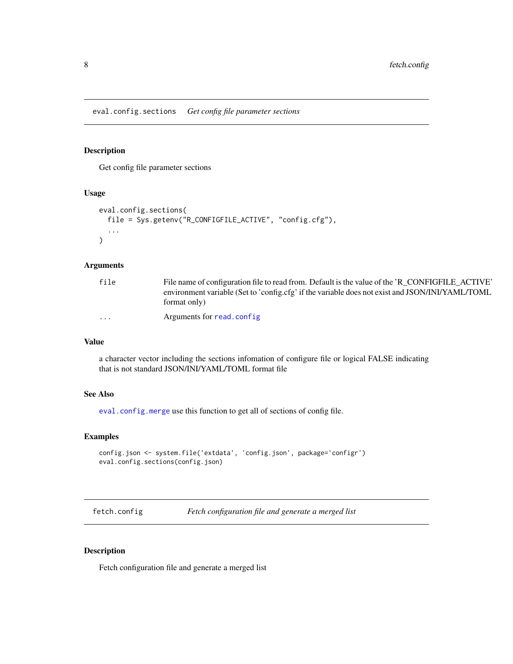<span id="page-7-1"></span><span id="page-7-0"></span>eval.config.sections *Get config file parameter sections*

# Description

Get config file parameter sections

# Usage

```
eval.config.sections(
  file = Sys.getenv("R_CONFIGFILE_ACTIVE", "config.cfg"),
  ...
\mathcal{L}
```
## Arguments

| file                    | File name of configuration file to read from. Default is the value of the 'R_CONFIGFILE_ACTIVE' |
|-------------------------|-------------------------------------------------------------------------------------------------|
|                         | environment variable (Set to 'config.cfg' if the variable does not exist and JSON/INI/YAML/TOML |
|                         | format only)                                                                                    |
| $\cdot$ $\cdot$ $\cdot$ | Arguments for read.config.                                                                      |

# Value

a character vector including the sections infomation of configure file or logical FALSE indicating that is not standard JSON/INI/YAML/TOML format file

# See Also

[eval.config.merge](#page-6-1) use this function to get all of sections of config file.

## Examples

```
config.json <- system.file('extdata', 'config.json', package='configr')
eval.config.sections(config.json)
```
fetch.config *Fetch configuration file and generate a merged list*

#### Description

Fetch configuration file and generate a merged list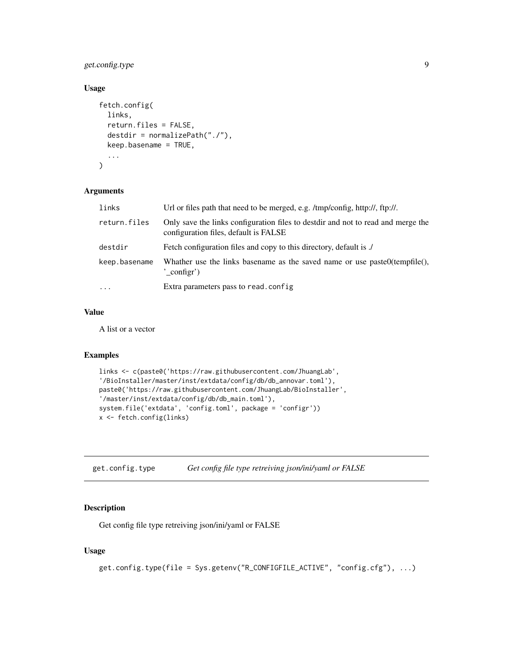# <span id="page-8-0"></span>get.config.type 9

# Usage

```
fetch.config(
  links,
  return.files = FALSE,
  destdir = normalizePath("./"),
  keep.basename = TRUE,
  ...
\mathcal{L}
```
# Arguments

| links         | Url or files path that need to be merged, e.g. /tmp/config, http://, ftp://.                                              |
|---------------|---------------------------------------------------------------------------------------------------------------------------|
| return.files  | Only save the links configuration files to destdir and not to read and merge the<br>configuration files, default is FALSE |
| destdir       | Fetch configuration files and copy to this directory, default is ./                                                       |
| keep.basename | Whather use the links basename as the saved name or use paste $O(\text{template})$ ,<br>' configr')                       |
| $\cdots$      | Extra parameters pass to read.config.                                                                                     |

## Value

A list or a vector

# Examples

```
links <- c(paste0('https://raw.githubusercontent.com/JhuangLab',
'/BioInstaller/master/inst/extdata/config/db/db_annovar.toml'),
paste0('https://raw.githubusercontent.com/JhuangLab/BioInstaller',
'/master/inst/extdata/config/db/db_main.toml'),
system.file('extdata', 'config.toml', package = 'configr'))
x <- fetch.config(links)
```
<span id="page-8-1"></span>get.config.type *Get config file type retreiving json/ini/yaml or FALSE*

# Description

Get config file type retreiving json/ini/yaml or FALSE

# Usage

```
get.config.type(file = Sys.getenv("R_CONFIGFILE_ACTIVE", "config.cfg"), ...)
```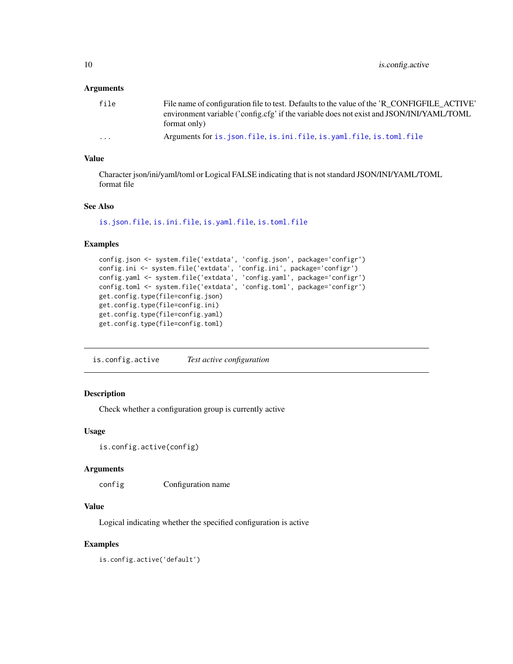## <span id="page-9-0"></span>**Arguments**

| file | File name of configuration file to test. Defaults to the value of the 'R_CONFIGFILE_ACTIVE'<br>environment variable ('config.cfg' if the variable does not exist and JSON/INI/YAML/TOML |
|------|-----------------------------------------------------------------------------------------------------------------------------------------------------------------------------------------|
|      | format only)                                                                                                                                                                            |
| .    | Arguments for is. json. file, is. ini. file, is. yaml. file, is. toml. file                                                                                                             |

## Value

Character json/ini/yaml/toml or Logical FALSE indicating that is not standard JSON/INI/YAML/TOML format file

# See Also

[is.json.file](#page-11-1), [is.ini.file](#page-10-1), [is.yaml.file](#page-13-1), [is.toml.file](#page-12-1)

# Examples

```
config.json <- system.file('extdata', 'config.json', package='configr')
config.ini <- system.file('extdata', 'config.ini', package='configr')
config.yaml <- system.file('extdata', 'config.yaml', package='configr')
config.toml <- system.file('extdata', 'config.toml', package='configr')
get.config.type(file=config.json)
get.config.type(file=config.ini)
get.config.type(file=config.yaml)
get.config.type(file=config.toml)
```
is.config.active *Test active configuration*

## Description

Check whether a configuration group is currently active

## Usage

```
is.config.active(config)
```
## Arguments

config Configuration name

#### Value

Logical indicating whether the specified configuration is active

## Examples

is.config.active('default')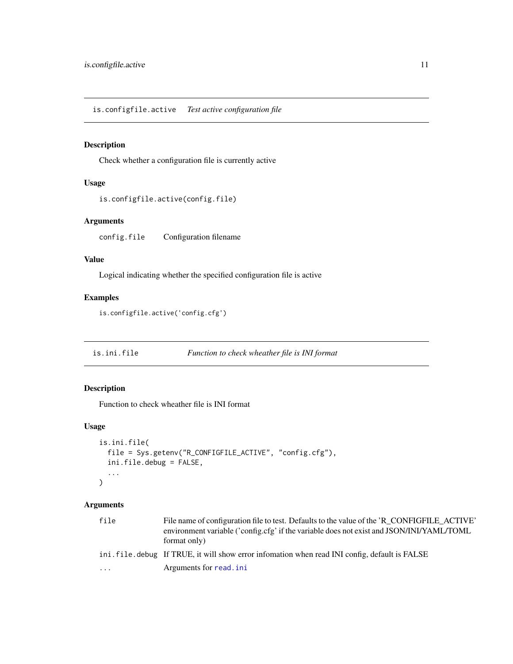# <span id="page-10-0"></span>Description

Check whether a configuration file is currently active

# Usage

```
is.configfile.active(config.file)
```
# Arguments

config.file Configuration filename

# Value

Logical indicating whether the specified configuration file is active

# Examples

```
is.configfile.active('config.cfg')
```
<span id="page-10-1"></span>is.ini.file *Function to check wheather file is INI format*

# Description

Function to check wheather file is INI format

# Usage

```
is.ini.file(
  file = Sys.getenv("R_CONFIGFILE_ACTIVE", "config.cfg"),
  ini.file.debug = FALSE,
  ...
)
```
# Arguments

| file | File name of configuration file to test. Defaults to the value of the 'R CONFIGFILE ACTIVE'<br>environment variable ('config.cfg' if the variable does not exist and JSON/INI/YAML/TOML<br>format only) |
|------|---------------------------------------------------------------------------------------------------------------------------------------------------------------------------------------------------------|
|      | ini. file. debug If TRUE, it will show error infomation when read INI config, default is FALSE                                                                                                          |
| .    | Arguments for read. ini                                                                                                                                                                                 |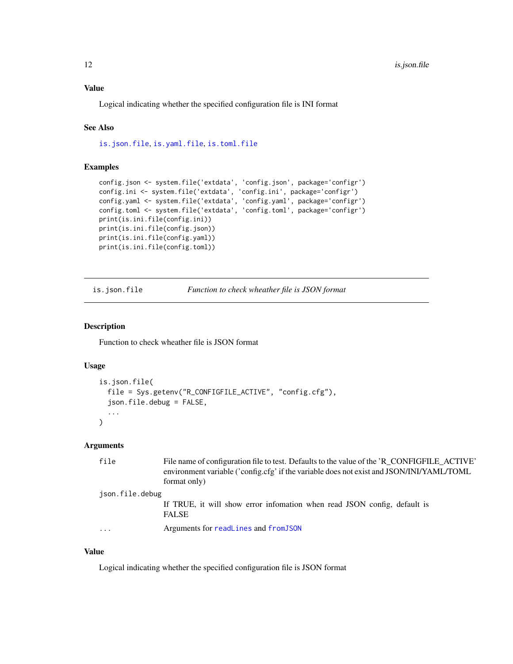<span id="page-11-0"></span>Logical indicating whether the specified configuration file is INI format

## See Also

[is.json.file](#page-11-1), [is.yaml.file](#page-13-1), [is.toml.file](#page-12-1)

# Examples

```
config.json <- system.file('extdata', 'config.json', package='configr')
config.ini <- system.file('extdata', 'config.ini', package='configr')
config.yaml <- system.file('extdata', 'config.yaml', package='configr')
config.toml <- system.file('extdata', 'config.toml', package='configr')
print(is.ini.file(config.ini))
print(is.ini.file(config.json))
print(is.ini.file(config.yaml))
print(is.ini.file(config.toml))
```
<span id="page-11-1"></span>is.json.file *Function to check wheather file is JSON format*

## Description

Function to check wheather file is JSON format

# Usage

```
is.json.file(
  file = Sys.getenv("R_CONFIGFILE_ACTIVE", "config.cfg"),
  json.file.debug = FALSE,
  ...
\mathcal{L}
```
## Arguments

|                 | file      | File name of configuration file to test. Defaults to the value of the 'R_CONFIGFILE_ACTIVE'<br>environment variable ('config.cfg' if the variable does not exist and JSON/INI/YAML/TOML<br>format only) |
|-----------------|-----------|---------------------------------------------------------------------------------------------------------------------------------------------------------------------------------------------------------|
| json.file.debug |           |                                                                                                                                                                                                         |
|                 |           | If TRUE, it will show error infomation when read JSON config, default is<br><b>FALSE</b>                                                                                                                |
|                 | $\ddotsc$ | Arguments for readLines and fromJSON                                                                                                                                                                    |

## Value

Logical indicating whether the specified configuration file is JSON format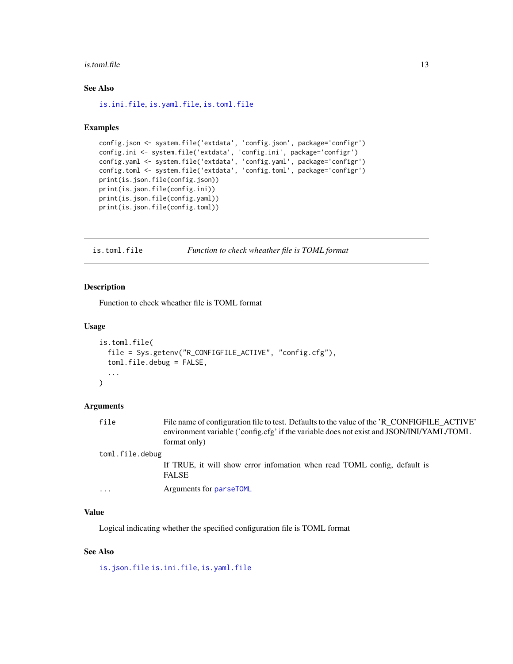#### <span id="page-12-0"></span>is.toml.file 13

# See Also

[is.ini.file](#page-10-1), [is.yaml.file](#page-13-1), [is.toml.file](#page-12-1)

## Examples

```
config.json <- system.file('extdata', 'config.json', package='configr')
config.ini <- system.file('extdata', 'config.ini', package='configr')
config.yaml <- system.file('extdata', 'config.yaml', package='configr')
config.toml <- system.file('extdata', 'config.toml', package='configr')
print(is.json.file(config.json))
print(is.json.file(config.ini))
print(is.json.file(config.yaml))
print(is.json.file(config.toml))
```
<span id="page-12-1"></span>is.toml.file *Function to check wheather file is TOML format*

#### Description

Function to check wheather file is TOML format

#### Usage

```
is.toml.file(
  file = Sys.getenv("R_CONFIGFILE_ACTIVE", "config.cfg"),
  toml.file.debug = FALSE,
  ...
)
```
# Arguments

| file            | File name of configuration file to test. Defaults to the value of the 'R_CONFIGFILE_ACTIVE'<br>environment variable ('config.cfg' if the variable does not exist and JSON/INI/YAML/TOML<br>format only) |  |
|-----------------|---------------------------------------------------------------------------------------------------------------------------------------------------------------------------------------------------------|--|
| toml.file.debug |                                                                                                                                                                                                         |  |
|                 | If TRUE, it will show error information when read TOML config, default is<br><b>FALSE</b>                                                                                                               |  |
| $\ddotsc$       | Arguments for parseTOML                                                                                                                                                                                 |  |

# Value

Logical indicating whether the specified configuration file is TOML format

# See Also

[is.json.file](#page-11-1) [is.ini.file](#page-10-1), [is.yaml.file](#page-13-1)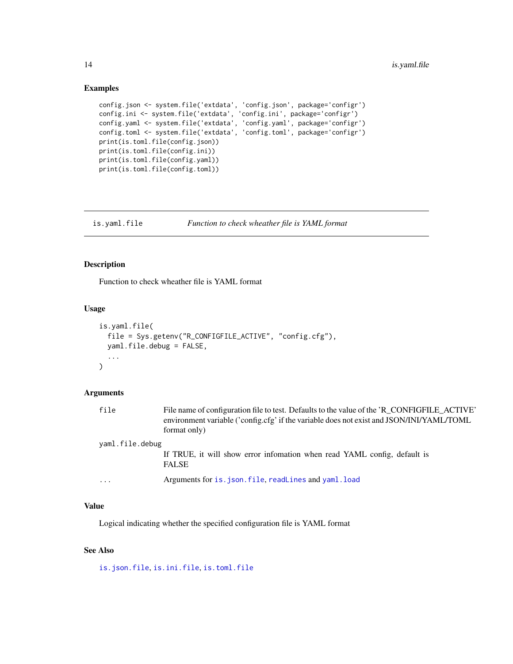## Examples

```
config.json <- system.file('extdata', 'config.json', package='configr')
config.ini <- system.file('extdata', 'config.ini', package='configr')
config.yaml <- system.file('extdata', 'config.yaml', package='configr')
config.toml <- system.file('extdata', 'config.toml', package='configr')
print(is.toml.file(config.json))
print(is.toml.file(config.ini))
print(is.toml.file(config.yaml))
print(is.toml.file(config.toml))
```
## <span id="page-13-1"></span>is.yaml.file *Function to check wheather file is YAML format*

# Description

Function to check wheather file is YAML format

## Usage

```
is.yaml.file(
  file = Sys.getenv("R_CONFIGFILE_ACTIVE", "config.cfg"),
 yaml.file.debug = FALSE,
  ...
\mathcal{L}
```
## Arguments

| file                    | File name of configuration file to test. Defaults to the value of the 'R_CONFIGFILE_ACTIVE'<br>environment variable ('config.cfg' if the variable does not exist and JSON/INI/YAML/TOML<br>format only) |  |
|-------------------------|---------------------------------------------------------------------------------------------------------------------------------------------------------------------------------------------------------|--|
| yaml.file.debug         |                                                                                                                                                                                                         |  |
|                         | If TRUE, it will show error information when read YAML config, default is<br><b>FALSE</b>                                                                                                               |  |
| $\cdot$ $\cdot$ $\cdot$ | Arguments for is. json. file, readLines and yaml. load                                                                                                                                                  |  |

## Value

Logical indicating whether the specified configuration file is YAML format

## See Also

[is.json.file](#page-11-1), [is.ini.file](#page-10-1), [is.toml.file](#page-12-1)

<span id="page-13-0"></span>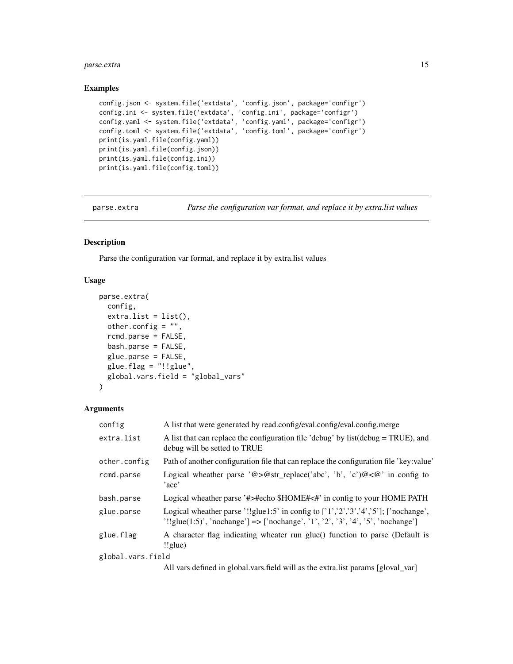# <span id="page-14-0"></span>parse.extra 15

## Examples

```
config.json <- system.file('extdata', 'config.json', package='configr')
config.ini <- system.file('extdata', 'config.ini', package='configr')
config.yaml <- system.file('extdata', 'config.yaml', package='configr')
config.toml <- system.file('extdata', 'config.toml', package='configr')
print(is.yaml.file(config.yaml))
print(is.yaml.file(config.json))
print(is.yaml.file(config.ini))
print(is.yaml.file(config.toml))
```
parse.extra *Parse the configuration var format, and replace it by extra.list values*

# Description

Parse the configuration var format, and replace it by extra.list values

## Usage

```
parse.extra(
  config,
  ext{ra.list} = list(),other.config = "",
  rcmd.parse = FALSE,
  bash.parse = FALSE,
  glue.parse = FALSE,
  glue.flag = "!!glue",global.vars.field = "global_vars"
\mathcal{L}
```
## Arguments

| config            | A list that were generated by read.config/eval.config/eval.config.merge                                                                                                     |
|-------------------|-----------------------------------------------------------------------------------------------------------------------------------------------------------------------------|
| extra.list        | A list that can replace the configuration file 'debug' by list $(debug = TRUE)$ , and<br>debug will be setted to TRUE                                                       |
| other.config      | Path of another configuration file that can replace the configuration file 'key: value'                                                                                     |
| rcmd.parse        | Logical wheather parse '@>@str_replace('abc', 'b', 'c')@<@' in config to<br>'acc'                                                                                           |
| bash.parse        | Logical wheather parse '#>#echo \$HOME#<#' in config to your HOME PATH                                                                                                      |
| glue.parse        | Logical wheather parse '!!glue1:5' in config to $[1', 2', 3', 4', 5']$ ; ['nochange',<br>$'!!$ glue(1:5)', 'nochange'] => ['nochange', '1', '2', '3', '4', '5', 'nochange'] |
| glue.flag         | A character flag indicating wheater run glue() function to parse (Default is<br>$!$ lglue)                                                                                  |
| global.vars.field |                                                                                                                                                                             |
|                   | All vars defined in global vars field will as the extra list params [gloval_var]                                                                                            |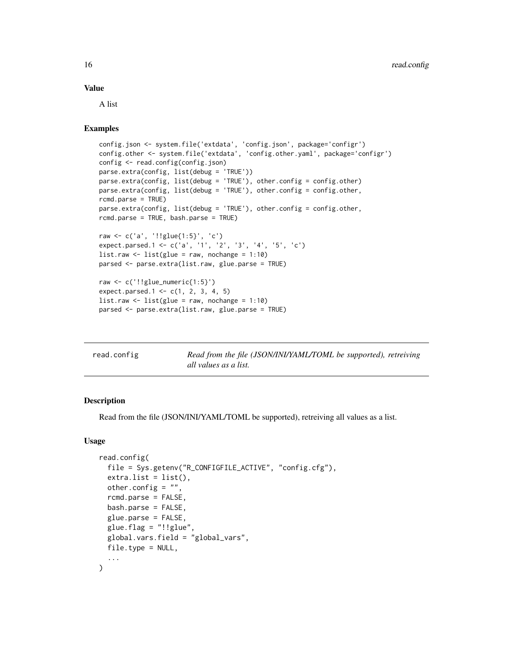## <span id="page-15-0"></span>Value

A list

# Examples

```
config.json <- system.file('extdata', 'config.json', package='configr')
config.other <- system.file('extdata', 'config.other.yaml', package='configr')
config <- read.config(config.json)
parse.extra(config, list(debug = 'TRUE'))
parse.extra(config, list(debug = 'TRUE'), other.config = config.other)
parse.extra(config, list(debug = 'TRUE'), other.config = config.other,
rcmd.parse = TRUE)
parse.extra(config, list(debug = 'TRUE'), other.config = config.other,
rcmd.parse = TRUE, bash.parse = TRUE)
raw <- c('a', '!!glue{1:5}', 'c')
expect.parsed.1 <- c('a', '1', '2', '3', '4', '5', 'c')
list.raw \le list(glue = raw, nochange = 1:10)
parsed <- parse.extra(list.raw, glue.parse = TRUE)
raw <- c('!!glue_numeric{1:5}')
expect.parsed.1 <- c(1, 2, 3, 4, 5)list.raw \le list(glue = raw, nochange = 1:10)
parsed <- parse.extra(list.raw, glue.parse = TRUE)
```
<span id="page-15-1"></span>

| read.config | Read from the file (JSON/INI/YAML/TOML be supported), retreiving |
|-------------|------------------------------------------------------------------|
|             | all values as a list.                                            |

# Description

Read from the file (JSON/INI/YAML/TOML be supported), retreiving all values as a list.

## Usage

```
read.config(
  file = Sys.getenv("R_CONFIGFILE_ACTIVE", "config.cfg"),
  extra.list = list(),other.config = "",
  rcmd.parse = FALSE,
  bash.parse = FALSE,
  glue.parse = FALSE,
 glue.flag = "!!glue",global.vars.field = "global_vars",
 file.type = NULL,
  ...
)
```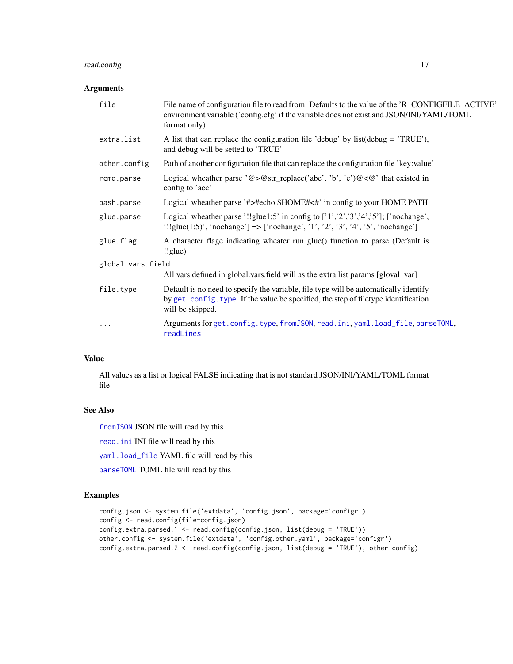# <span id="page-16-0"></span>read.config 17

## Arguments

| file              | File name of configuration file to read from. Defaults to the value of the 'R_CONFIGFILE_ACTIVE'<br>environment variable ('config.cfg' if the variable does not exist and JSON/INI/YAML/TOML<br>format only) |  |
|-------------------|--------------------------------------------------------------------------------------------------------------------------------------------------------------------------------------------------------------|--|
| extra.list        | A list that can replace the configuration file 'debug' by $list(debug = 'TRUE')$ ,<br>and debug will be setted to 'TRUE'                                                                                     |  |
| other.config      | Path of another configuration file that can replace the configuration file 'key:value'                                                                                                                       |  |
| rcmd.parse        | Logical wheather parse '@>@str_replace('abc', 'b', 'c')@<@' that existed in<br>config to 'acc'                                                                                                               |  |
| bash.parse        | Logical wheather parse '#>#echo \$HOME#<#' in config to your HOME PATH                                                                                                                                       |  |
| glue.parse        | Logical wheather parse '!!glue1:5' in config to ['1','2','3','4','5']; ['nochange',<br>'!!glue(1:5)', 'nochange'] => ['nochange', '1', '2', '3', '4', '5', 'nochange']                                       |  |
| glue.flag         | A character flage indicating wheater run glue() function to parse (Default is<br>$!$ lglue)                                                                                                                  |  |
| global.vars.field |                                                                                                                                                                                                              |  |
|                   | All vars defined in global.vars.field will as the extra.list params [gloval_var]                                                                                                                             |  |
| file.type         | Default is no need to specify the variable, file.type will be automatically identify<br>by get. config. type. If the value be specified, the step of filetype identification<br>will be skipped.             |  |
| $\ddotsc$         | Arguments for get.config.type, fromJSON, read.ini, yaml.load_file, parseTOML,<br>readLines                                                                                                                   |  |

# Value

All values as a list or logical FALSE indicating that is not standard JSON/INI/YAML/TOML format file

# See Also

[fromJSON](#page-0-0) JSON file will read by this

[read.ini](#page-0-0) INI file will read by this

[yaml.load\\_file](#page-0-0) YAML file will read by this

[parseTOML](#page-0-0) TOML file will read by this

```
config.json <- system.file('extdata', 'config.json', package='configr')
config <- read.config(file=config.json)
config.extra.parsed.1 <- read.config(config.json, list(debug = 'TRUE'))
other.config <- system.file('extdata', 'config.other.yaml', package='configr')
config.extra.parsed.2 <- read.config(config.json, list(debug = 'TRUE'), other.config)
```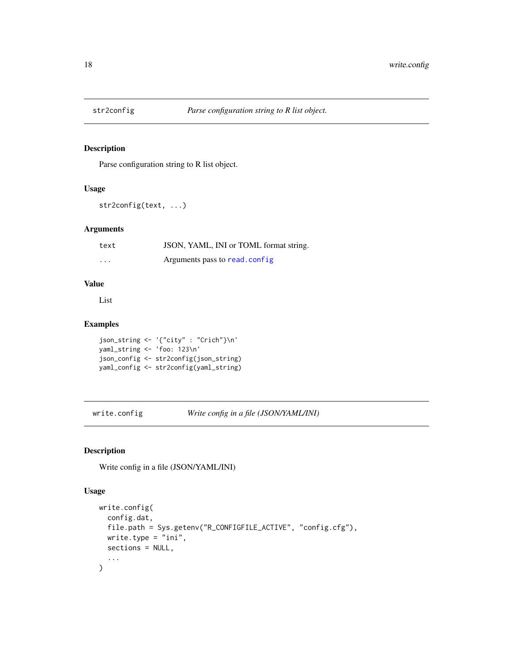<span id="page-17-0"></span>

# Description

Parse configuration string to R list object.

# Usage

str2config(text, ...)

## Arguments

| text     | JSON, YAML, INI or TOML format string. |
|----------|----------------------------------------|
| $\cdots$ | Arguments pass to read.config.         |

# Value

List

# Examples

```
json_string <- '{"city" : "Crich"}\n'
yaml_string <- 'foo: 123\n'
json_config <- str2config(json_string)
yaml_config <- str2config(yaml_string)
```
<span id="page-17-1"></span>write.config *Write config in a file (JSON/YAML/INI)*

# Description

Write config in a file (JSON/YAML/INI)

## Usage

```
write.config(
  config.dat,
 file.path = Sys.getenv("R_CONFIGFILE_ACTIVE", "config.cfg"),
 write.type = "ini",sections = NULL,
  ...
\mathcal{L}
```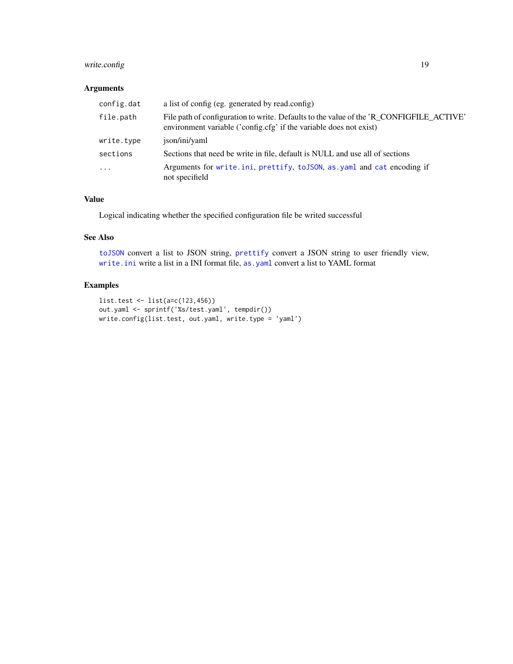# <span id="page-18-0"></span>write.config 19

# Arguments

| config.dat | a list of config (eg. generated by read.config)                                                                                                               |
|------------|---------------------------------------------------------------------------------------------------------------------------------------------------------------|
| file.path  | File path of configuration to write. Defaults to the value of the 'R_CONFIGFILE_ACTIVE'<br>environment variable ('config.cfg' if the variable does not exist) |
| write.type | ison/ini/yaml                                                                                                                                                 |
| sections   | Sections that need be write in file, default is NULL and use all of sections                                                                                  |
| $\ddots$ . | Arguments for write.ini, prettify, to JSON, as yaml and cat encoding if<br>not specifield                                                                     |

# Value

Logical indicating whether the specified configuration file be writed successful

## See Also

[toJSON](#page-0-0) convert a list to JSON string, [prettify](#page-0-0) convert a JSON string to user friendly view, [write.ini](#page-0-0) write a list in a INI format file, [as.yaml](#page-0-0) convert a list to YAML format

```
list.test <- list(a=c(123,456))
out.yaml <- sprintf('%s/test.yaml', tempdir())
write.config(list.test, out.yaml, write.type = 'yaml')
```